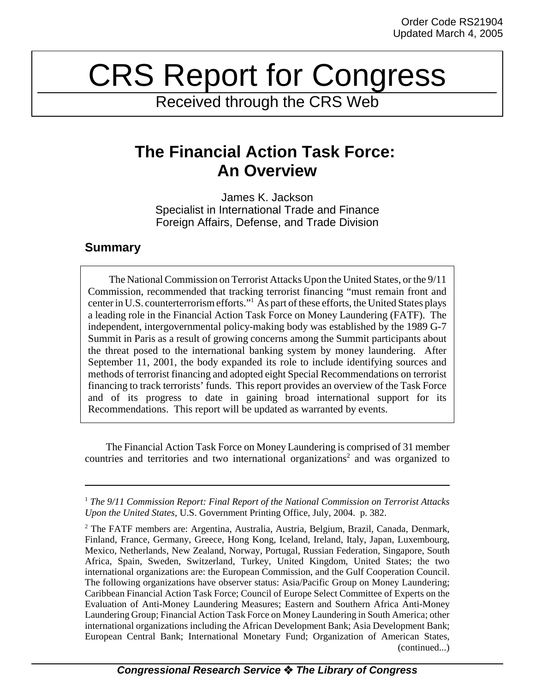# CRS Report for Congress

Received through the CRS Web

## **The Financial Action Task Force: An Overview**

James K. Jackson Specialist in International Trade and Finance Foreign Affairs, Defense, and Trade Division

### **Summary**

The National Commission on Terrorist Attacks Upon the United States, or the 9/11 Commission, recommended that tracking terrorist financing "must remain front and center in U.S. counterterrorism efforts."<sup>1</sup> As part of these efforts, the United States plays a leading role in the Financial Action Task Force on Money Laundering (FATF). The independent, intergovernmental policy-making body was established by the 1989 G-7 Summit in Paris as a result of growing concerns among the Summit participants about the threat posed to the international banking system by money laundering. After September 11, 2001, the body expanded its role to include identifying sources and methods of terrorist financing and adopted eight Special Recommendations on terrorist financing to track terrorists' funds. This report provides an overview of the Task Force and of its progress to date in gaining broad international support for its Recommendations. This report will be updated as warranted by events.

The Financial Action Task Force on Money Laundering is comprised of 31 member countries and territories and two international organizations<sup>2</sup> and was organized to

<sup>1</sup> *The 9/11 Commission Report: Final Report of the National Commission on Terrorist Attacks Upon the United States*, U.S. Government Printing Office, July, 2004. p. 382.

<sup>&</sup>lt;sup>2</sup> The FATF members are: Argentina, Australia, Austria, Belgium, Brazil, Canada, Denmark, Finland, France, Germany, Greece, Hong Kong, Iceland, Ireland, Italy, Japan, Luxembourg, Mexico, Netherlands, New Zealand, Norway, Portugal, Russian Federation, Singapore, South Africa, Spain, Sweden, Switzerland, Turkey, United Kingdom, United States; the two international organizations are: the European Commission, and the Gulf Cooperation Council. The following organizations have observer status: Asia/Pacific Group on Money Laundering; Caribbean Financial Action Task Force; Council of Europe Select Committee of Experts on the Evaluation of Anti-Money Laundering Measures; Eastern and Southern Africa Anti-Money Laundering Group; Financial Action Task Force on Money Laundering in South America; other international organizations including the African Development Bank; Asia Development Bank; European Central Bank; International Monetary Fund; Organization of American States, (continued...)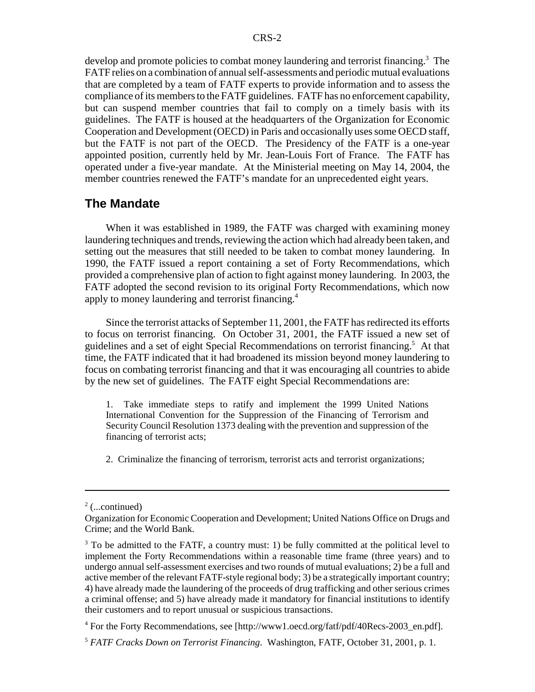develop and promote policies to combat money laundering and terrorist financing.<sup>3</sup> The FATF relies on a combination of annual self-assessments and periodic mutual evaluations that are completed by a team of FATF experts to provide information and to assess the compliance of its members to the FATF guidelines. FATF has no enforcement capability, but can suspend member countries that fail to comply on a timely basis with its guidelines. The FATF is housed at the headquarters of the Organization for Economic Cooperation and Development (OECD) in Paris and occasionally uses some OECD staff, but the FATF is not part of the OECD. The Presidency of the FATF is a one-year appointed position, currently held by Mr. Jean-Louis Fort of France. The FATF has operated under a five-year mandate. At the Ministerial meeting on May 14, 2004, the member countries renewed the FATF's mandate for an unprecedented eight years.

#### **The Mandate**

When it was established in 1989, the FATF was charged with examining money laundering techniques and trends, reviewing the action which had already been taken, and setting out the measures that still needed to be taken to combat money laundering. In 1990, the FATF issued a report containing a set of Forty Recommendations, which provided a comprehensive plan of action to fight against money laundering. In 2003, the FATF adopted the second revision to its original Forty Recommendations, which now apply to money laundering and terrorist financing.4

Since the terrorist attacks of September 11, 2001, the FATF has redirected its efforts to focus on terrorist financing. On October 31, 2001, the FATF issued a new set of guidelines and a set of eight Special Recommendations on terrorist financing.5 At that time, the FATF indicated that it had broadened its mission beyond money laundering to focus on combating terrorist financing and that it was encouraging all countries to abide by the new set of guidelines. The FATF eight Special Recommendations are:

1. Take immediate steps to ratify and implement the 1999 United Nations International Convention for the Suppression of the Financing of Terrorism and Security Council Resolution 1373 dealing with the prevention and suppression of the financing of terrorist acts;

2. Criminalize the financing of terrorism, terrorist acts and terrorist organizations;

 $2$  (...continued)

Organization for Economic Cooperation and Development; United Nations Office on Drugs and Crime; and the World Bank.

 $3$  To be admitted to the FATF, a country must: 1) be fully committed at the political level to implement the Forty Recommendations within a reasonable time frame (three years) and to undergo annual self-assessment exercises and two rounds of mutual evaluations; 2) be a full and active member of the relevant FATF-style regional body; 3) be a strategically important country; 4) have already made the laundering of the proceeds of drug trafficking and other serious crimes a criminal offense; and 5) have already made it mandatory for financial institutions to identify their customers and to report unusual or suspicious transactions.

<sup>&</sup>lt;sup>4</sup> For the Forty Recommendations, see [http://www1.oecd.org/fatf/pdf/40Recs-2003\_en.pdf].

<sup>5</sup> *FATF Cracks Down on Terrorist Financing*. Washington, FATF, October 31, 2001, p. 1.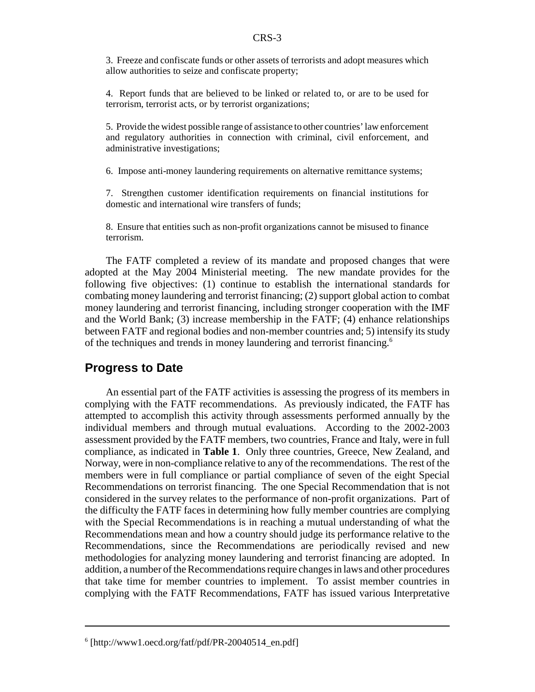3. Freeze and confiscate funds or other assets of terrorists and adopt measures which allow authorities to seize and confiscate property;

4. Report funds that are believed to be linked or related to, or are to be used for terrorism, terrorist acts, or by terrorist organizations;

5. Provide the widest possible range of assistance to other countries' law enforcement and regulatory authorities in connection with criminal, civil enforcement, and administrative investigations;

6. Impose anti-money laundering requirements on alternative remittance systems;

7. Strengthen customer identification requirements on financial institutions for domestic and international wire transfers of funds;

8. Ensure that entities such as non-profit organizations cannot be misused to finance terrorism.

The FATF completed a review of its mandate and proposed changes that were adopted at the May 2004 Ministerial meeting. The new mandate provides for the following five objectives: (1) continue to establish the international standards for combating money laundering and terrorist financing; (2) support global action to combat money laundering and terrorist financing, including stronger cooperation with the IMF and the World Bank; (3) increase membership in the FATF; (4) enhance relationships between FATF and regional bodies and non-member countries and; 5) intensify its study of the techniques and trends in money laundering and terrorist financing.6

#### **Progress to Date**

An essential part of the FATF activities is assessing the progress of its members in complying with the FATF recommendations. As previously indicated, the FATF has attempted to accomplish this activity through assessments performed annually by the individual members and through mutual evaluations. According to the 2002-2003 assessment provided by the FATF members, two countries, France and Italy, were in full compliance, as indicated in **Table 1**. Only three countries, Greece, New Zealand, and Norway, were in non-compliance relative to any of the recommendations. The rest of the members were in full compliance or partial compliance of seven of the eight Special Recommendations on terrorist financing. The one Special Recommendation that is not considered in the survey relates to the performance of non-profit organizations. Part of the difficulty the FATF faces in determining how fully member countries are complying with the Special Recommendations is in reaching a mutual understanding of what the Recommendations mean and how a country should judge its performance relative to the Recommendations, since the Recommendations are periodically revised and new methodologies for analyzing money laundering and terrorist financing are adopted. In addition, a number of the Recommendations require changes in laws and other procedures that take time for member countries to implement. To assist member countries in complying with the FATF Recommendations, FATF has issued various Interpretative

<sup>6</sup> [http://www1.oecd.org/fatf/pdf/PR-20040514\_en.pdf]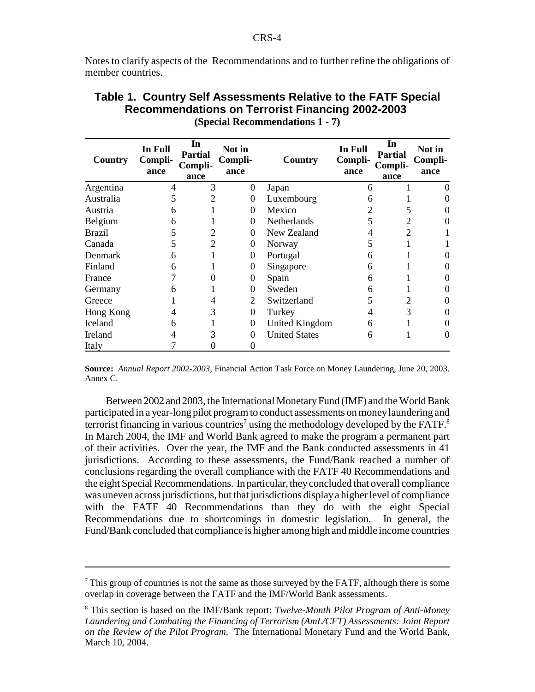Notes to clarify aspects of the Recommendations and to further refine the obligations of member countries.

| Country        | In Full<br>Compli-<br>ance | In<br><b>Partial</b><br>Compli-<br>ance | Not in<br>Compli-<br>ance | Country              | In Full<br>Compli-<br>ance | In<br><b>Partial</b><br>Compli-<br>ance | Not in<br>Compli-<br>ance |
|----------------|----------------------------|-----------------------------------------|---------------------------|----------------------|----------------------------|-----------------------------------------|---------------------------|
| Argentina      | 4                          | 3                                       | $\theta$                  | Japan                | 6                          |                                         |                           |
| Australia      | C                          |                                         | $\theta$                  | Luxembourg           | 6                          |                                         |                           |
| Austria        | 6                          |                                         | $\Omega$                  | Mexico               | 2                          |                                         |                           |
| Belgium        | 6                          |                                         | $\Omega$                  | Netherlands          |                            |                                         |                           |
| <b>Brazil</b>  | 5                          |                                         | $\Omega$                  | New Zealand          | 4                          |                                         |                           |
| Canada         |                            |                                         | $\Omega$                  | Norway               |                            |                                         |                           |
| Denmark        | 6                          |                                         | $\Omega$                  | Portugal             | 6                          |                                         |                           |
| Finland        | 6                          |                                         | 0                         | Singapore            | 6                          |                                         |                           |
| France         |                            |                                         | 0                         | Spain                | 6                          |                                         |                           |
| Germany        | 6                          |                                         | $\Omega$                  | Sweden               | 6                          |                                         |                           |
| Greece         |                            | 4                                       | 2                         | Switzerland          | 5                          | $\overline{2}$                          |                           |
| Hong Kong      | 4                          | 3                                       | $\Omega$                  | Turkey               | 4                          | 3                                       |                           |
| <b>Iceland</b> | 6                          |                                         | $\theta$                  | United Kingdom       | 6                          |                                         |                           |
| Ireland        |                            |                                         | $\Omega$                  | <b>United States</b> | 6                          |                                         |                           |
| Italy          |                            |                                         | 0                         |                      |                            |                                         |                           |

#### **Table 1. Country Self Assessments Relative to the FATF Special Recommendations on Terrorist Financing 2002-2003 (Special Recommendations 1 - 7)**

**Source:** *Annual Report 2002-2003*, Financial Action Task Force on Money Laundering, June 20, 2003. Annex C.

Between 2002 and 2003, the International Monetary Fund (IMF) and the World Bank participated in a year-long pilot program to conduct assessments on money laundering and terrorist financing in various countries<sup>7</sup> using the methodology developed by the FATF.<sup>8</sup> In March 2004, the IMF and World Bank agreed to make the program a permanent part of their activities. Over the year, the IMF and the Bank conducted assessments in 41 jurisdictions. According to these assessments, the Fund/Bank reached a number of conclusions regarding the overall compliance with the FATF 40 Recommendations and the eight Special Recommendations. In particular, they concluded that overall compliance was uneven across jurisdictions, but that jurisdictions display a higher level of compliance with the FATF 40 Recommendations than they do with the eight Special Recommendations due to shortcomings in domestic legislation. In general, the Fund/Bank concluded that compliance is higher among high and middle income countries

 $<sup>7</sup>$  This group of countries is not the same as those surveyed by the FATF, although there is some</sup> overlap in coverage between the FATF and the IMF/World Bank assessments.

<sup>8</sup> This section is based on the IMF/Bank report: *Twelve-Month Pilot Program of Anti-Money Laundering and Combating the Financing of Terrorism (AmL/CFT) Assessments: Joint Report on the Review of the Pilot Program*. The International Monetary Fund and the World Bank, March 10, 2004.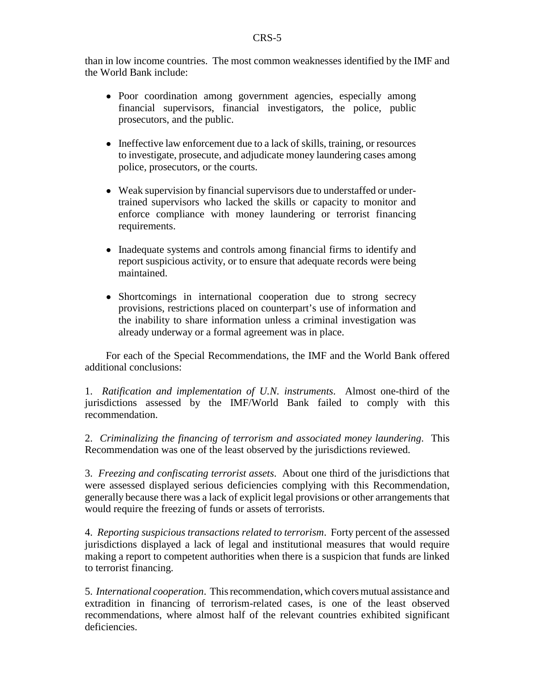than in low income countries. The most common weaknesses identified by the IMF and the World Bank include:

- ! Poor coordination among government agencies, especially among financial supervisors, financial investigators, the police, public prosecutors, and the public.
- Ineffective law enforcement due to a lack of skills, training, or resources to investigate, prosecute, and adjudicate money laundering cases among police, prosecutors, or the courts.
- Weak supervision by financial supervisors due to understaffed or undertrained supervisors who lacked the skills or capacity to monitor and enforce compliance with money laundering or terrorist financing requirements.
- Inadequate systems and controls among financial firms to identify and report suspicious activity, or to ensure that adequate records were being maintained.
- ! Shortcomings in international cooperation due to strong secrecy provisions, restrictions placed on counterpart's use of information and the inability to share information unless a criminal investigation was already underway or a formal agreement was in place.

For each of the Special Recommendations, the IMF and the World Bank offered additional conclusions:

1. *Ratification and implementation of U.N. instruments*. Almost one-third of the jurisdictions assessed by the IMF/World Bank failed to comply with this recommendation.

2. *Criminalizing the financing of terrorism and associated money laundering*. This Recommendation was one of the least observed by the jurisdictions reviewed.

3. *Freezing and confiscating terrorist assets*. About one third of the jurisdictions that were assessed displayed serious deficiencies complying with this Recommendation, generally because there was a lack of explicit legal provisions or other arrangements that would require the freezing of funds or assets of terrorists.

4. *Reporting suspicious transactions related to terrorism*. Forty percent of the assessed jurisdictions displayed a lack of legal and institutional measures that would require making a report to competent authorities when there is a suspicion that funds are linked to terrorist financing.

5. *International cooperation*. This recommendation, which covers mutual assistance and extradition in financing of terrorism-related cases, is one of the least observed recommendations, where almost half of the relevant countries exhibited significant deficiencies.